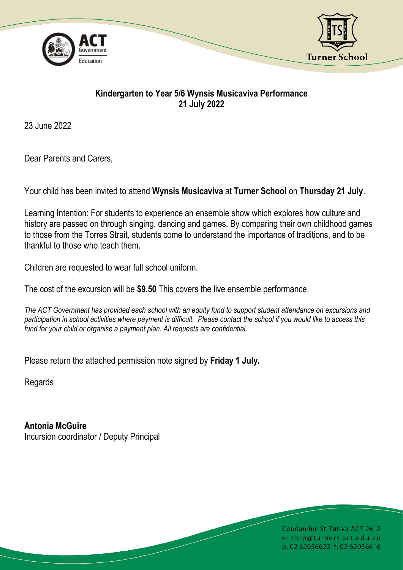



## **Kindergarten to Year 5/6 Wynsis Musicaviva Performance 21 July 2022**

23 June 2022

Dear Parents and Carers,

Your child has been invited to attend **Wynsis Musicaviva** at **Turner School** on **Thursday 21 July**.

Learning Intention: For students to experience an ensemble show which explores how culture and history are passed on through singing, dancing and games. By comparing their own childhood games to those from the Torres Strait, students come to understand the importance of traditions, and to be thankful to those who teach them.

Children are requested to wear full school uniform.

The cost of the excursion will be **\$9.50** This covers the live ensemble performance.

*The ACT Government has provided each school with an equity fund to support student attendance on excursions and participation in school activities where payment is difficult. Please contact the school if you would like to access this fund for your child or organise a payment plan. All requests are confidential.*

Please return the attached permission note signed by **Friday 1 July.**

Regards

**Antonia McGuire** Incursion coordinator / Deputy Principal

> Condamine St. Turner ACT 2612 e: tnrp@turners.act.edu.au p: 02 62056622 f: 02 62056616